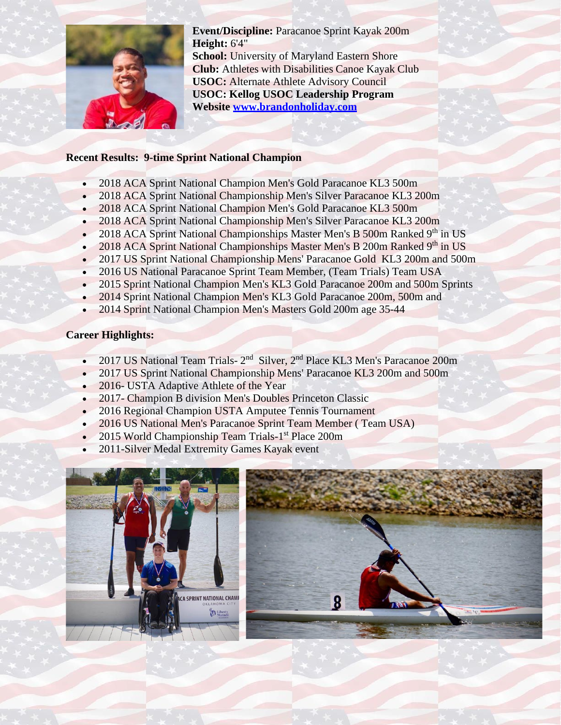

**Event/Discipline:** Paracanoe Sprint Kayak 200m **Height:** 6'4" **School:** University of Maryland Eastern Shore **Club:** Athletes with Disabilities Canoe Kayak Club **USOC:** Alternate Athlete Advisory Council **USOC: Kellog USOC Leadership Program Website [www.brandonholiday.com](http://www.brandonholiday.com/)**

## **Recent Results: 9-time Sprint National Champion**

- 2018 ACA Sprint National Champion Men's Gold Paracanoe KL3 500m
- 2018 ACA Sprint National Championship Men's Silver Paracanoe KL3 200m
- 2018 ACA Sprint National Champion Men's Gold Paracanoe KL3 500m
- 2018 ACA Sprint National Championship Men's Silver Paracanoe KL3 200m
- 2018 ACA Sprint National Championships Master Men's B 500m Ranked 9<sup>th</sup> in US
- 2018 ACA Sprint National Championships Master Men's B 200m Ranked 9th in US
- 2017 US Sprint National Championship Mens' Paracanoe Gold KL3 200m and 500m
- 2016 US National Paracanoe Sprint Team Member, (Team Trials) Team USA
- 2015 Sprint National Champion Men's KL3 Gold Paracanoe 200m and 500m Sprints
- 2014 Sprint National Champion Men's KL3 Gold Paracanoe 200m, 500m and
- 2014 Sprint National Champion Men's Masters Gold 200m age 35-44

## **Career Highlights:**

- 2017 US National Team Trials- 2<sup>nd</sup> Silver, 2<sup>nd</sup> Place KL3 Men's Paracanoe 200m
- 2017 US Sprint National Championship Mens' Paracanoe KL3 200m and 500m
- 2016- USTA Adaptive Athlete of the Year
- 2017- Champion B division Men's Doubles Princeton Classic
- 2016 Regional Champion USTA Amputee Tennis Tournament
- 2016 US National Men's Paracanoe Sprint Team Member (Team USA)
- 2015 World Championship Team Trials-1<sup>st</sup> Place 200m
- 2011-Silver Medal Extremity Games Kayak event

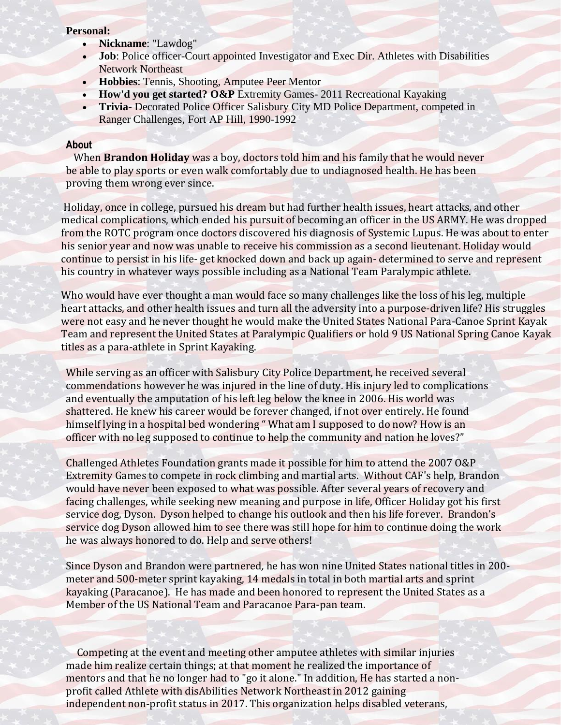## **Personal:**

- **Nickname**: "Lawdog"
- **Job**: Police officer-Court appointed Investigator and Exec Dir. Athletes with Disabilities Network Northeast
- **Hobbies**: Tennis, Shooting, Amputee Peer Mentor
- **How'd you get started? O&P** Extremity Games- 2011 Recreational Kayaking
- **Trivia-** Decorated Police Officer Salisbury City MD Police Department, competed in Ranger Challenges, Fort AP Hill, 1990-1992

## **About**

 When **Brandon Holiday** was a boy, doctors told him and his family that he would never be able to play sports or even walk comfortably due to undiagnosed health. He has been proving them wrong ever since.

Holiday, once in college, pursued his dream but had further health issues, heart attacks, and other medical complications, which ended his pursuit of becoming an officer in the US ARMY. He was dropped from the ROTC program once doctors discovered his diagnosis of Systemic Lupus. He was about to enter his senior year and now was unable to receive his commission as a second lieutenant. Holiday would continue to persist in his life- get knocked down and back up again- determined to serve and represent his country in whatever ways possible including as a National Team Paralympic athlete.

Who would have ever thought a man would face so many challenges like the loss of his leg, multiple heart attacks, and other health issues and turn all the adversity into a purpose-driven life? His struggles were not easy and he never thought he would make the United States National Para-Canoe Sprint Kayak Team and represent the United States at Paralympic Qualifiers or hold 9 US National Spring Canoe Kayak titles as a para-athlete in Sprint Kayaking.

While serving as an officer with Salisbury City Police Department, he received several commendations however he was injured in the line of duty. His injury led to complications and eventually the amputation of his left leg below the knee in 2006. His world was shattered. He knew his career would be forever changed, if not over entirely. He found himself lying in a hospital bed wondering " What am I supposed to do now? How is an officer with no leg supposed to continue to help the community and nation he loves?"

Challenged Athletes Foundation grants made it possible for him to attend the 2007 O&P Extremity Games to compete in rock climbing and martial arts. Without CAF's help, Brandon would have never been exposed to what was possible. After several years of recovery and facing challenges, while seeking new meaning and purpose in life, Officer Holiday got his first service dog, Dyson. Dyson helped to change his outlook and then his life forever. Brandon's service dog Dyson allowed him to see there was still hope for him to continue doing the work he was always honored to do. Help and serve others!

Since Dyson and Brandon were partnered*,* he has won nine United States national titles in 200 meter and 500-meter sprint kayaking, 14 medals in total in both martial arts and sprint kayaking (Paracanoe). He has made and been honored to represent the United States as a Member of the US National Team and Paracanoe Para-pan team.

Competing at the event and meeting other amputee athletes with similar injuries made him realize certain things; at that moment he realized the importance of mentors and that he no longer had to "go it alone." In addition, He has started a nonprofit called Athlete with disAbilities Network Northeast in 2012 gaining independent non-profit status in 2017. This organization helps disabled veterans,